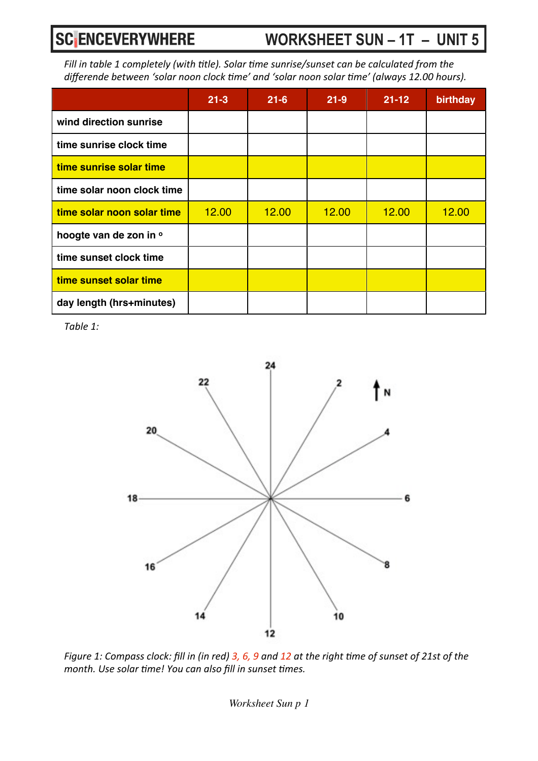#### **WORKSHEET SUN – 1T – UNIT 5**

*Fill in table 1 completely (with title). Solar time sunrise/sunset can be calculated from the* differende between 'solar noon clock time' and 'solar noon solar time' (always 12.00 hours).

|                            | $21 - 3$ | $21 - 6$ | $21 - 9$ | $21 - 12$ | birthday |
|----------------------------|----------|----------|----------|-----------|----------|
| wind direction sunrise     |          |          |          |           |          |
| time sunrise clock time    |          |          |          |           |          |
| time sunrise solar time    |          |          |          |           |          |
| time solar noon clock time |          |          |          |           |          |
| time solar noon solar time | 12.00    | 12.00    | 12.00    | 12.00     | 12.00    |
| hoogte van de zon in o     |          |          |          |           |          |
| time sunset clock time     |          |          |          |           |          |
| time sunset solar time     |          |          |          |           |          |
| day length (hrs+minutes)   |          |          |          |           |          |

Table 1:



*Figure 1: Compass clock: fill in (in red) 3, 6, 9 and 12 at the right time of sunset of 21st of the month.* Use solar time! You can also fill in sunset times.

*Worksheet Sun p 1*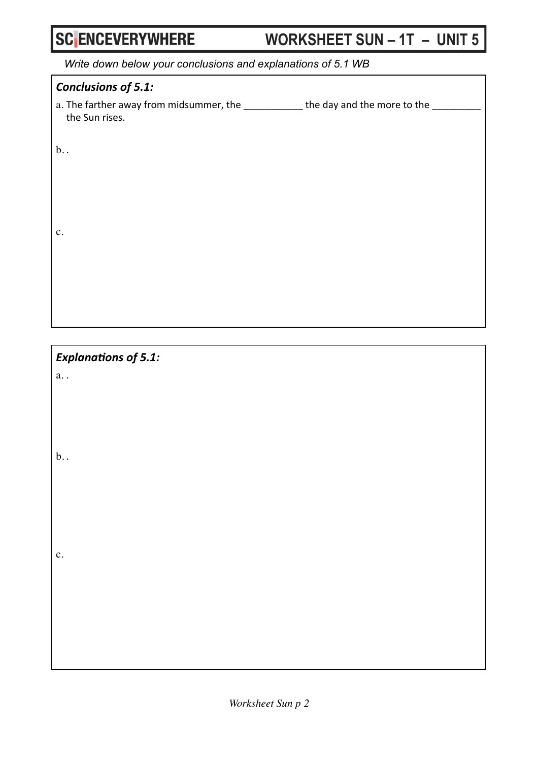# WORKSHEET SUN - 1T - UNIT 5

Write down below your conclusions and explanations of 5.1 WB

| <b>Conclusions of 5.1:</b>                                                                            |
|-------------------------------------------------------------------------------------------------------|
| a. The farther away from midsummer, the ____________ the day and the more to the __<br>the Sun rises. |
| $b$                                                                                                   |
| $\mathbf{c}$ .                                                                                        |
|                                                                                                       |

**Explanations of 5.1:** 

 $a.$ .

 $b.$ .

 $\mathbf{c}$ .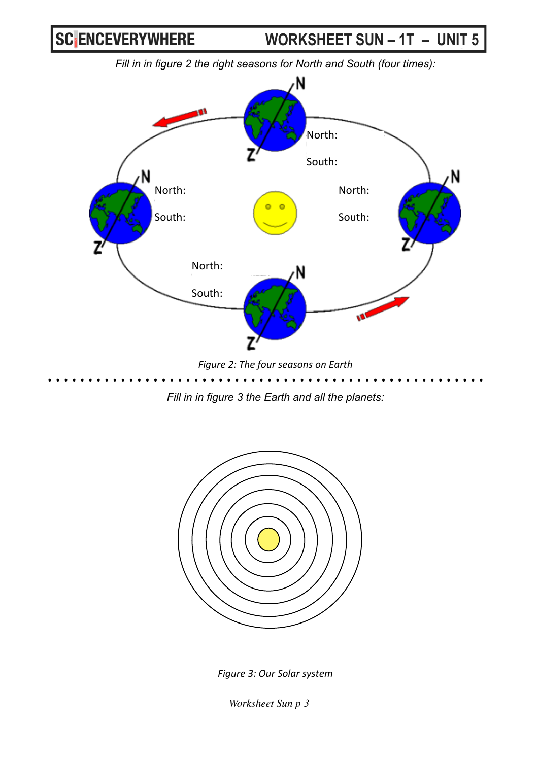**WORKSHEET SUN – 1T – UNIT 5**

*Fill in in figure 2 the right seasons for North and South (four times):*



**Figure 2: The four seasons on Earth** 

*Fill in in figure 3 the Earth and all the planets:*



*Figure 3: Our Solar system*

*Worksheet Sun p 3*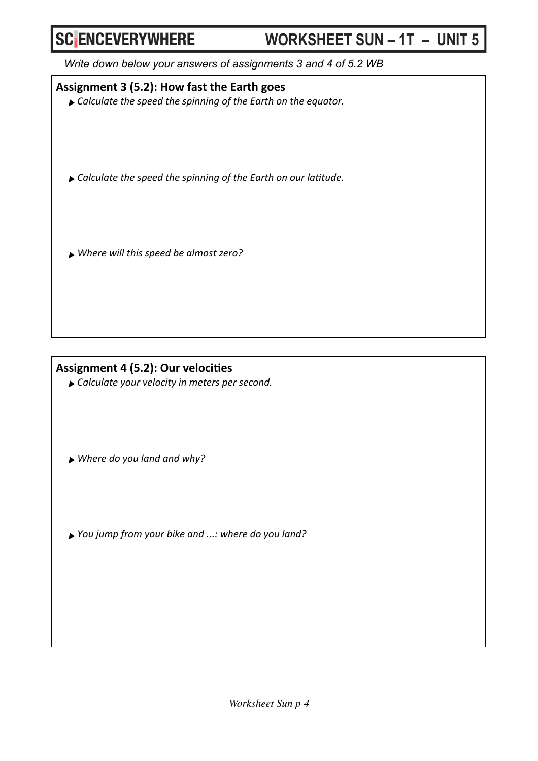#### **WORKSHEET SUN – 1T – UNIT 5**

*Write down below your answers of assignments 3 and 4 of 5.2 WB*

Assignment 3 (5.2): How fast the Earth goes

▶ Calculate the speed the spinning of the Earth on the equator.

▶ Calculate the speed the spinning of the Earth on our latitude.

*‣Where will this speed be almost zero?*

#### Assignment 4 (5.2): Our velocities

▶ Calculate your velocity in meters per second.

▶ Where do you land and why?

*‣You jump from your bike and ...: where do you land?*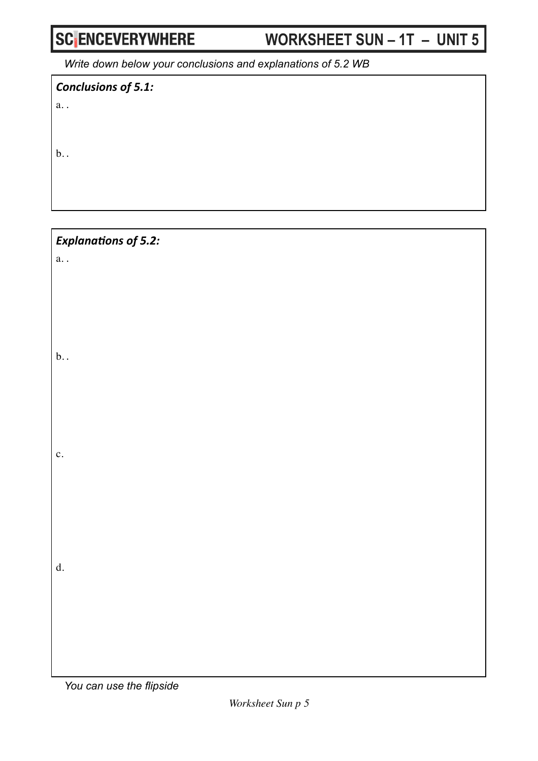# WORKSHEET SUN - 1T - UNIT 5

Write down below your conclusions and explanations of 5.2 WB

Conclusions of 5.1:

 $a.$ .

 $b.$ 

**Explanations of 5.2:**  $a.$ .

 $b.$ 

 $\mathbf{c}$ .

 ${\bf d.}$ 

You can use the flipside